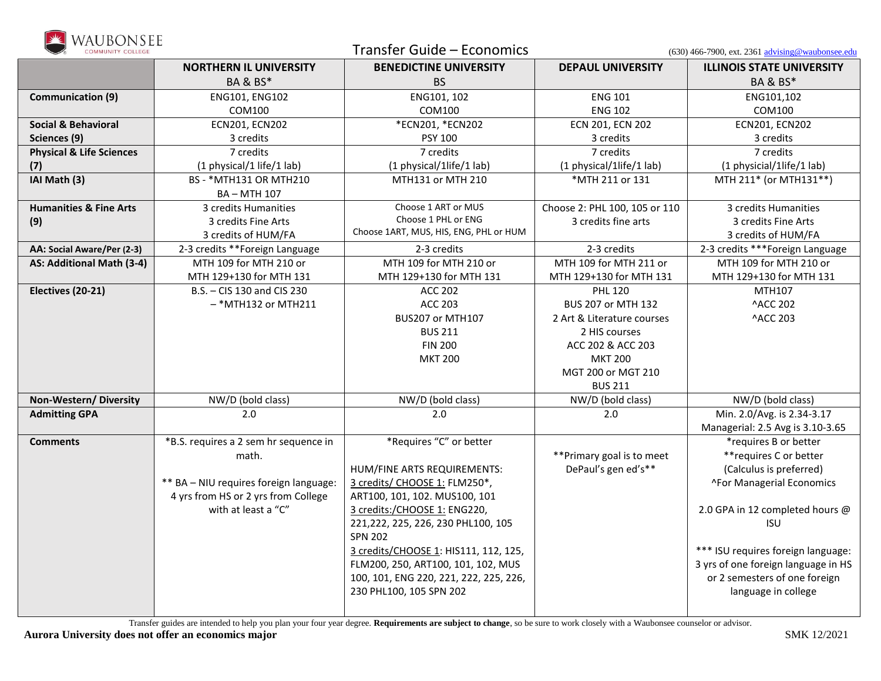

| ,,,,,,,,,,,<br><b>COMMUNITY COLLEGE</b>       |                                        | Transfer Guide - Economics             |                               | $(630)$ 466-7900, ext. 2361 advising@waubonsee.edu |
|-----------------------------------------------|----------------------------------------|----------------------------------------|-------------------------------|----------------------------------------------------|
|                                               | <b>NORTHERN IL UNIVERSITY</b>          | <b>BENEDICTINE UNIVERSITY</b>          | <b>DEPAUL UNIVERSITY</b>      | <b>ILLINOIS STATE UNIVERSITY</b>                   |
|                                               | <b>BA &amp; BS*</b>                    | <b>BS</b>                              |                               | <b>BA &amp; BS*</b>                                |
| <b>Communication (9)</b>                      | ENG101, ENG102                         | ENG101, 102                            | <b>ENG 101</b>                | ENG101,102                                         |
|                                               | COM100                                 | COM100                                 | <b>ENG 102</b>                | COM100                                             |
| <b>Social &amp; Behavioral</b>                | <b>ECN201, ECN202</b>                  | *ECN201, *ECN202                       | ECN 201, ECN 202              | <b>ECN201, ECN202</b>                              |
| Sciences (9)                                  | 3 credits                              | PSY 100                                | 3 credits                     | 3 credits                                          |
| <b>Physical &amp; Life Sciences</b>           | 7 credits                              | 7 credits                              | 7 credits                     | 7 credits                                          |
| (7)                                           | (1 physical/1 life/1 lab)              | (1 physical/1life/1 lab)               | (1 physical/1life/1 lab)      | (1 physicial/1life/1 lab)                          |
| IAI Math (3)                                  | BS - *MTH131 OR MTH210                 | MTH131 or MTH 210                      | *MTH 211 or 131               | MTH 211* (or MTH131**)                             |
|                                               | BA-MTH 107                             |                                        |                               |                                                    |
| <b>Humanities &amp; Fine Arts</b>             | 3 credits Humanities                   | Choose 1 ART or MUS                    | Choose 2: PHL 100, 105 or 110 | 3 credits Humanities                               |
| (9)                                           | 3 credits Fine Arts                    | Choose 1 PHL or ENG                    | 3 credits fine arts           | 3 credits Fine Arts                                |
|                                               | 3 credits of HUM/FA                    | Choose 1ART, MUS, HIS, ENG, PHL or HUM |                               | 3 credits of HUM/FA                                |
| AA: Social Aware/Per (2-3)                    | 2-3 credits **Foreign Language         | 2-3 credits                            | 2-3 credits                   | 2-3 credits *** Foreign Language                   |
| AS: Additional Math (3-4)                     | MTH 109 for MTH 210 or                 | MTH 109 for MTH 210 or                 | MTH 109 for MTH 211 or        | MTH 109 for MTH 210 or                             |
|                                               | MTH 129+130 for MTH 131                | MTH 129+130 for MTH 131                | MTH 129+130 for MTH 131       | MTH 129+130 for MTH 131                            |
| Electives (20-21)                             | B.S. - CIS 130 and CIS 230             | <b>ACC 202</b>                         | <b>PHL 120</b>                | MTH107                                             |
|                                               | $-$ *MTH132 or MTH211                  | <b>ACC 203</b>                         | BUS 207 or MTH 132            | <b>^ACC 202</b>                                    |
|                                               |                                        | BUS207 or MTH107                       | 2 Art & Literature courses    | <b>^ACC 203</b>                                    |
|                                               |                                        | <b>BUS 211</b>                         | 2 HIS courses                 |                                                    |
|                                               |                                        | <b>FIN 200</b>                         | ACC 202 & ACC 203             |                                                    |
|                                               |                                        | <b>MKT 200</b>                         | <b>MKT 200</b>                |                                                    |
|                                               |                                        |                                        | MGT 200 or MGT 210            |                                                    |
|                                               |                                        |                                        | <b>BUS 211</b>                |                                                    |
| Non-Western/Diversity<br><b>Admitting GPA</b> | NW/D (bold class)<br>2.0               | NW/D (bold class)<br>2.0               | NW/D (bold class)<br>2.0      | NW/D (bold class)<br>Min. 2.0/Avg. is 2.34-3.17    |
|                                               |                                        |                                        |                               | Managerial: 2.5 Avg is 3.10-3.65                   |
| <b>Comments</b>                               | *B.S. requires a 2 sem hr sequence in  | *Requires "C" or better                |                               | *requires B or better                              |
|                                               | math.                                  |                                        | ** Primary goal is to meet    | ** requires C or better                            |
|                                               |                                        | HUM/FINE ARTS REQUIREMENTS:            | DePaul's gen ed's**           | (Calculus is preferred)                            |
|                                               | ** BA - NIU requires foreign language: | 3 credits/ CHOOSE 1: FLM250*,          |                               | ^For Managerial Economics                          |
|                                               | 4 yrs from HS or 2 yrs from College    | ART100, 101, 102. MUS100, 101          |                               |                                                    |
|                                               | with at least a "C"                    | 3 credits:/CHOOSE 1: ENG220,           |                               | 2.0 GPA in 12 completed hours @                    |
|                                               |                                        | 221, 222, 225, 226, 230 PHL100, 105    |                               | <b>ISU</b>                                         |
|                                               |                                        | <b>SPN 202</b>                         |                               |                                                    |
|                                               |                                        | 3 credits/CHOOSE 1: HIS111, 112, 125,  |                               | *** ISU requires foreign language:                 |
|                                               |                                        | FLM200, 250, ART100, 101, 102, MUS     |                               | 3 yrs of one foreign language in HS                |
|                                               |                                        | 100, 101, ENG 220, 221, 222, 225, 226, |                               | or 2 semesters of one foreign                      |
|                                               |                                        | 230 PHL100, 105 SPN 202                |                               | language in college                                |
|                                               |                                        |                                        |                               |                                                    |

Transfer guides are intended to help you plan your four year degree. **Requirements are subject to change**, so be sure to work closely with a Waubonsee counselor or advisor.